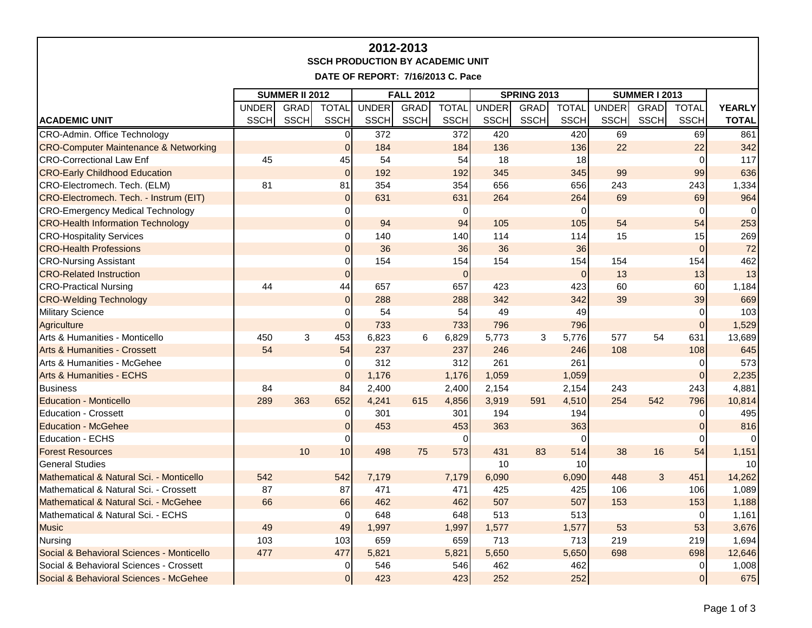| 2012-2013<br><b>SSCH PRODUCTION BY ACADEMIC UNIT</b> |                       |             |                |              |                  |              |                    |             |              |                      |      |                |                 |
|------------------------------------------------------|-----------------------|-------------|----------------|--------------|------------------|--------------|--------------------|-------------|--------------|----------------------|------|----------------|-----------------|
| DATE OF REPORT: 7/16/2013 C. Pace                    |                       |             |                |              |                  |              |                    |             |              |                      |      |                |                 |
|                                                      | <b>SUMMER II 2012</b> |             |                |              | <b>FALL 2012</b> |              | <b>SPRING 2013</b> |             |              | <b>SUMMER I 2013</b> |      |                |                 |
|                                                      | <b>UNDER</b>          | GRAD        | <b>TOTAL</b>   | <b>UNDER</b> | GRAD             | <b>TOTAL</b> | <b>UNDER</b>       | <b>GRAD</b> | <b>TOTAL</b> | <b>UNDER</b>         | GRAD | <b>TOTAL</b>   | <b>YEARLY</b>   |
| <b>ACADEMIC UNIT</b>                                 | <b>SSCH</b>           | <b>SSCH</b> | <b>SSCH</b>    | <b>SSCH</b>  | <b>SSCH</b>      | <b>SSCH</b>  | SSCH               | <b>SSCH</b> | <b>SSCH</b>  | <b>SSCH</b>          | SSCH | <b>SSCH</b>    | <b>TOTAL</b>    |
| CRO-Admin. Office Technology                         |                       |             | $\overline{0}$ | 372          |                  | 372          | 420                |             | 420          | 69                   |      | 69             | 861             |
| <b>CRO-Computer Maintenance &amp; Networking</b>     |                       |             | $\Omega$       | 184          |                  | 184          | 136                |             | 136          | 22                   |      | 22             | 342             |
| <b>CRO-Correctional Law Enf</b>                      | 45                    |             | 45             | 54           |                  | 54           | 18                 |             | 18           |                      |      | 0              | 117             |
| <b>CRO-Early Childhood Education</b>                 |                       |             | $\mathbf 0$    | 192          |                  | 192          | 345                |             | 345          | 99                   |      | 99             | 636             |
| CRO-Electromech. Tech. (ELM)                         | 81                    |             | 81             | 354          |                  | 354          | 656                |             | 656          | 243                  |      | 243            | 1,334           |
| CRO-Electromech. Tech. - Instrum (EIT)               |                       |             | $\mathbf 0$    | 631          |                  | 631          | 264                |             | 264          | 69                   |      | 69             | 964             |
| <b>CRO-Emergency Medical Technology</b>              |                       |             | $\mathbf 0$    |              |                  | 0            |                    |             | 0            |                      |      | $\Omega$       |                 |
| <b>CRO-Health Information Technology</b>             |                       |             | $\mathbf 0$    | 94           |                  | 94           | 105                |             | 105          | 54                   |      | 54             | 253             |
| <b>CRO-Hospitality Services</b>                      |                       |             | $\pmb{0}$      | 140          |                  | 140          | 114                |             | 114          | 15                   |      | 15             | 269             |
| <b>CRO-Health Professions</b>                        |                       |             | $\mathbf 0$    | 36           |                  | 36           | 36                 |             | 36           |                      |      | $\mathbf 0$    | 72              |
| <b>CRO-Nursing Assistant</b>                         |                       |             | $\mathbf 0$    | 154          |                  | 154          | 154                |             | 154          | 154                  |      | 154            | 462             |
| <b>CRO-Related Instruction</b>                       |                       |             | $\mathbf 0$    |              |                  | $\Omega$     |                    |             | $\mathbf{0}$ | 13                   |      | 13             | 13              |
| <b>CRO-Practical Nursing</b>                         | 44                    |             | 44             | 657          |                  | 657          | 423                |             | 423          | 60                   |      | 60             | 1,184           |
| <b>CRO-Welding Technology</b>                        |                       |             | $\overline{0}$ | 288          |                  | 288          | 342                |             | 342          | 39                   |      | 39             | 669             |
| <b>Military Science</b>                              |                       |             | 0              | 54           |                  | 54           | 49                 |             | 49           |                      |      | 0              | 103             |
| Agriculture                                          |                       |             | $\overline{0}$ | 733          |                  | 733          | 796                |             | 796          |                      |      | $\pmb{0}$      | 1,529           |
| Arts & Humanities - Monticello                       | 450                   | 3           | 453            | 6,823        | 6                | 6,829        | 5,773              | 3           | 5,776        | 577                  | 54   | 631            | 13,689          |
| <b>Arts &amp; Humanities - Crossett</b>              | 54                    |             | 54             | 237          |                  | 237          | 246                |             | 246          | 108                  |      | 108            | 645             |
| Arts & Humanities - McGehee                          |                       |             | $\Omega$       | 312          |                  | 312          | 261                |             | 261          |                      |      | 0              | 573             |
| <b>Arts &amp; Humanities - ECHS</b>                  |                       |             | $\overline{0}$ | 1,176        |                  | 1,176        | 1,059              |             | 1,059        |                      |      | $\pmb{0}$      | 2,235           |
| <b>Business</b>                                      | 84                    |             | 84             | 2,400        |                  | 2,400        | 2,154              |             | 2,154        | 243                  |      | 243            | 4,881           |
| <b>Education - Monticello</b>                        | 289                   | 363         | 652            | 4,241        | 615              | 4,856        | 3,919              | 591         | 4,510        | 254                  | 542  | 796            | 10,814          |
| <b>Education - Crossett</b>                          |                       |             | 0              | 301          |                  | 301          | 194                |             | 194          |                      |      | $\Omega$       | 495             |
| <b>Education - McGehee</b>                           |                       |             | $\Omega$       | 453          |                  | 453          | 363                |             | 363          |                      |      | $\overline{0}$ | 816             |
| <b>Education - ECHS</b>                              |                       |             | $\Omega$       |              |                  | $\Omega$     |                    |             | 0            |                      |      | O              |                 |
| <b>Forest Resources</b>                              |                       | 10          | 10             | 498          | 75               | 573          | 431                | 83          | 514          | 38                   | 16   | 54             | 1,151           |
| <b>General Studies</b>                               |                       |             |                |              |                  |              | 10                 |             | 10           |                      |      |                | 10 <sup>1</sup> |
| Mathematical & Natural Sci. - Monticello             | 542                   |             | 542            | 7,179        |                  | 7,179        | 6,090              |             | 6,090        | 448                  | 3    | 451            | 14,262          |
| Mathematical & Natural Sci. - Crossett               | 87                    |             | 87             | 471          |                  | 471          | 425                |             | 425          | 106                  |      | 106            | 1,089           |
| Mathematical & Natural Sci. - McGehee                | 66                    |             | 66             | 462          |                  | 462          | 507                |             | 507          | 153                  |      | 153            | 1,188           |
| Mathematical & Natural Sci. - ECHS                   |                       |             | $\mathbf 0$    | 648          |                  | 648          | 513                |             | 513          |                      |      | 0              | 1,161           |
| <b>Music</b>                                         | 49                    |             | 49             | 1,997        |                  | 1,997        | 1,577              |             | 1,577        | 53                   |      | 53             | 3,676           |
| Nursing                                              | 103                   |             | 103            | 659          |                  | 659          | 713                |             | 713          | 219                  |      | 219            | 1,694           |
| Social & Behavioral Sciences - Monticello            | 477                   |             | 477            | 5,821        |                  | 5,821        | 5,650              |             | 5,650        | 698                  |      | 698            | 12,646          |
| Social & Behavioral Sciences - Crossett              |                       |             | 0              | 546          |                  | 546          | 462                |             | 462          |                      |      | $\mathbf 0$    | 1,008           |
| Social & Behavioral Sciences - McGehee               |                       |             | $\mathbf 0$    | 423          |                  | 423          | 252                |             | 252          |                      |      | $\mathbf 0$    | 675             |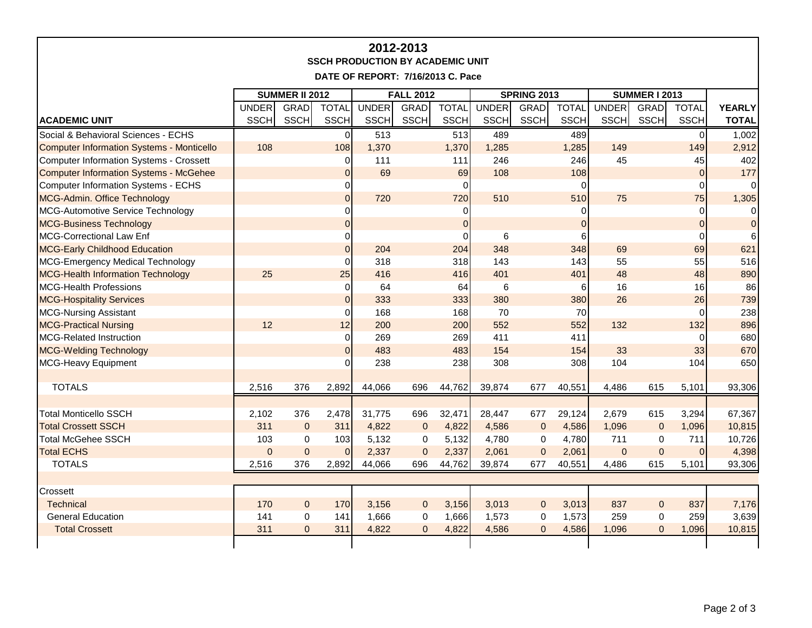| 2012-2013<br><b>SSCH PRODUCTION BY ACADEMIC UNIT</b><br>DATE OF REPORT: 7/16/2013 C. Pace |                       |                |                |                  |             |              |                    |             |              |                      |              |                |               |
|-------------------------------------------------------------------------------------------|-----------------------|----------------|----------------|------------------|-------------|--------------|--------------------|-------------|--------------|----------------------|--------------|----------------|---------------|
|                                                                                           | <b>SUMMER II 2012</b> |                |                | <b>FALL 2012</b> |             |              | <b>SPRING 2013</b> |             |              | <b>SUMMER I 2013</b> |              |                |               |
|                                                                                           | <b>UNDER</b>          | GRAD           | <b>TOTAL</b>   | <b>UNDER</b>     | GRAD        | <b>TOTAL</b> | <b>UNDER</b>       | GRAD        | <b>TOTAL</b> | <b>UNDER</b>         | GRAD         | <b>TOTAL</b>   | <b>YEARLY</b> |
| <b>ACADEMIC UNIT</b>                                                                      | <b>SSCH</b>           | <b>SSCH</b>    | <b>SSCH</b>    | <b>SSCH</b>      | <b>SSCH</b> | <b>SSCH</b>  | <b>SSCH</b>        | <b>SSCH</b> | <b>SSCH</b>  | <b>SSCH</b>          | <b>SSCH</b>  | <b>SSCH</b>    | <b>TOTAL</b>  |
| Social & Behavioral Sciences - ECHS                                                       |                       |                | $\Omega$       | 513              |             | 513          | 489                |             | 489          |                      |              | $\Omega$       | 1,002         |
| <b>Computer Information Systems - Monticello</b>                                          | 108                   |                | 108            | 1,370            |             | 1,370        | 1,285              |             | 1,285        | 149                  |              | 149            | 2,912         |
| Computer Information Systems - Crossett                                                   |                       |                | $\Omega$       | 111              |             | 111          | 246                |             | 246          | 45                   |              | 45             | 402           |
| <b>Computer Information Systems - McGehee</b>                                             |                       |                | $\mathbf 0$    | 69               |             | 69           | 108                |             | 108          |                      |              | $\overline{0}$ | 177           |
| Computer Information Systems - ECHS                                                       |                       |                | $\pmb{0}$      |                  |             | $\Omega$     |                    |             | 0            |                      |              | 0              |               |
| MCG-Admin. Office Technology                                                              |                       |                | $\overline{0}$ | 720              |             | 720          | 510                |             | 510          | 75                   |              | 75             | 1,305         |
| MCG-Automotive Service Technology                                                         |                       |                | $\Omega$       |                  |             | 0            |                    |             | 0            |                      |              | $\Omega$       |               |
| <b>MCG-Business Technology</b>                                                            |                       |                | $\Omega$       |                  |             | $\Omega$     |                    |             | $\mathbf 0$  |                      |              | $\overline{0}$ | $\Omega$      |
| MCG-Correctional Law Enf                                                                  |                       |                | $\mathbf 0$    |                  |             | $\Omega$     | 6                  |             | 6            |                      |              | $\Omega$       |               |
| <b>MCG-Early Childhood Education</b>                                                      |                       |                | $\Omega$       | 204              |             | 204          | 348                |             | 348          | 69                   |              | 69             | 621           |
| MCG-Emergency Medical Technology                                                          |                       |                | 0              | 318              |             | 318          | 143                |             | 143          | 55                   |              | 55             | 516           |
| <b>MCG-Health Information Technology</b>                                                  | 25                    |                | 25             | 416              |             | 416          | 401                |             | 401          | 48                   |              | 48             | 890           |
| MCG-Health Professions                                                                    |                       |                | $\mathbf 0$    | 64               |             | 64           | 6                  |             | 6            | 16                   |              | 16             | 86            |
| <b>MCG-Hospitality Services</b>                                                           |                       |                | $\overline{0}$ | 333              |             | 333          | 380                |             | 380          | 26                   |              | 26             | 739           |
| <b>MCG-Nursing Assistant</b>                                                              |                       |                | $\Omega$       | 168              |             | 168          | 70                 |             | <b>70</b>    |                      |              | $\Omega$       | 238           |
| <b>MCG-Practical Nursing</b>                                                              | 12                    |                | 12             | 200              |             | 200          | 552                |             | 552          | 132                  |              | 132            | 896           |
| MCG-Related Instruction                                                                   |                       |                | $\mathbf 0$    | 269              |             | 269          | 411                |             | 411          |                      |              | $\Omega$       | 680           |
| <b>MCG-Welding Technology</b>                                                             |                       |                | $\mathbf 0$    | 483              |             | 483          | 154                |             | 154          | 33                   |              | 33             | 670           |
| MCG-Heavy Equipment                                                                       |                       |                | $\Omega$       | 238              |             | 238          | 308                |             | 308          | 104                  |              | 104            | 650           |
|                                                                                           |                       |                |                |                  |             |              |                    |             |              |                      |              |                |               |
| <b>TOTALS</b>                                                                             | 2,516                 | 376            | 2,892          | 44,066           | 696         | 44,762       | 39,874             | 677         | 40,551       | 4,486                | 615          | 5,101          | 93,306        |
|                                                                                           |                       |                |                |                  |             |              |                    |             |              |                      |              |                |               |
| <b>Total Monticello SSCH</b>                                                              | 2,102                 | 376            | 2,478          | 31,775           | 696         | 32,471       | 28,447             | 677         | 29,124       | 2,679                | 615          | 3,294          | 67,367        |
| <b>Total Crossett SSCH</b>                                                                | 311                   | $\Omega$       | 311            | 4,822            | $\pmb{0}$   | 4,822        | 4,586              | $\pmb{0}$   | 4,586        | 1,096                | $\mathbf 0$  | 1,096          | 10,815        |
| <b>Total McGehee SSCH</b>                                                                 | 103                   | $\mathbf 0$    | 103            | 5,132            | $\mathbf 0$ | 5,132        | 4,780              | $\mathbf 0$ | 4,780        | 711                  | $\mathbf 0$  | 711            | 10,726        |
| <b>Total ECHS</b>                                                                         | $\overline{0}$        | $\mathbf{0}$   | $\mathbf 0$    | 2,337            | $\pmb{0}$   | 2,337        | 2,061              | $\pmb{0}$   | 2,061        | $\overline{0}$       | $\mathbf 0$  | $\overline{0}$ | 4,398         |
| <b>TOTALS</b>                                                                             | 2,516                 | 376            | 2,892          | 44,066           | 696         | 44,762       | 39,874             | 677         | 40,551       | 4,486                | 615          | 5,101          | 93,306        |
|                                                                                           |                       |                |                |                  |             |              |                    |             |              |                      |              |                |               |
| Crossett                                                                                  |                       |                |                |                  |             |              |                    |             |              |                      |              |                |               |
| <b>Technical</b>                                                                          | 170                   | $\pmb{0}$      | 170            | 3,156            | $\mathbf 0$ | 3,156        | 3,013              | $\mathbf 0$ | 3,013        | 837                  | $\mathbf{0}$ | 837            | 7,176         |
| <b>General Education</b>                                                                  | 141                   | 0              | 141            | 1,666            | $\pmb{0}$   | 1,666        | 1,573              | 0           | 1,573        | 259                  | $\mathbf 0$  | 259            | 3,639         |
| <b>Total Crossett</b>                                                                     | 311                   | $\overline{0}$ | 311            | 4,822            | $\Omega$    | 4,822        | 4,586              | $\Omega$    | 4,586        | 1,096                | $\Omega$     | 1,096          | 10,815        |
|                                                                                           |                       |                |                |                  |             |              |                    |             |              |                      |              |                |               |